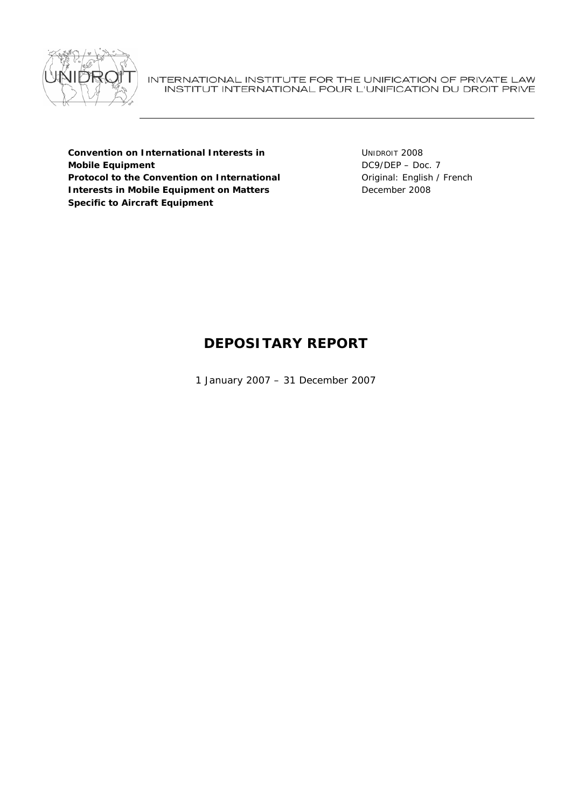

INTERNATIONAL INSTITUTE FOR THE UNIFICATION OF PRIVATE LAW INSTITUT INTERNATIONAL POUR L'UNIFICATION DU DROIT PRIVE

**Convention on International Interests in Mobile Equipment Protocol to the Convention on International Interests in Mobile Equipment on Matters Specific to Aircraft Equipment** 

UNIDROIT 2008 DC9/DEP – Doc. 7 Original: English / French December 2008

# **DEPOSITARY REPORT**

1 January 2007 – 31 December 2007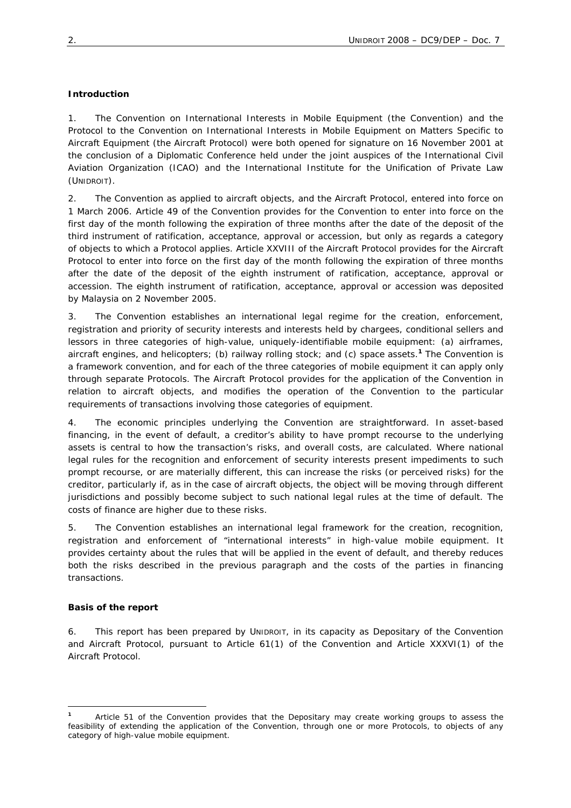#### **Introduction**

1. The *Convention on International Interests in Mobile Equipment* (the Convention) and the *Protocol to the Convention on International Interests in Mobile Equipment on Matters Specific to Aircraft Equipment* (the Aircraft Protocol) were both opened for signature on 16 November 2001 at the conclusion of a Diplomatic Conference held under the joint auspices of the International Civil Aviation Organization (ICAO) and the International Institute for the Unification of Private Law (UNIDROIT).

2. The Convention as applied to aircraft objects, and the Aircraft Protocol, entered into force on 1 March 2006. Article 49 of the Convention provides for the Convention to enter into force on the first day of the month following the expiration of three months after the date of the deposit of the third instrument of ratification, acceptance, approval or accession, but only as regards a category of objects to which a Protocol applies. Article XXVIII of the Aircraft Protocol provides for the Aircraft Protocol to enter into force on the first day of the month following the expiration of three months after the date of the deposit of the eighth instrument of ratification, acceptance, approval or accession. The eighth instrument of ratification, acceptance, approval or accession was deposited by Malaysia on 2 November 2005.

3. The Convention establishes an international legal regime for the creation, enforcement, registration and priority of security interests and interests held by chargees, conditional sellers and lessors in three categories of high-value, uniquely-identifiable mobile equipment: (a) airframes, aircraft engines, and helicopters; (b) railway rolling stock; and (c) space assets.**<sup>1</sup>** The Convention is a framework convention, and for each of the three categories of mobile equipment it can apply only through separate Protocols. The Aircraft Protocol provides for the application of the Convention in relation to aircraft objects, and modifies the operation of the Convention to the particular requirements of transactions involving those categories of equipment.

4. The economic principles underlying the Convention are straightforward. In asset-based financing, in the event of default, a creditor's ability to have prompt recourse to the underlying assets is central to how the transaction's risks, and overall costs, are calculated. Where national legal rules for the recognition and enforcement of security interests present impediments to such prompt recourse, or are materially different, this can increase the risks (or perceived risks) for the creditor, particularly if, as in the case of aircraft objects, the object will be moving through different jurisdictions and possibly become subject to such national legal rules at the time of default. The costs of finance are higher due to these risks.

5. The Convention establishes an international legal framework for the creation, recognition, registration and enforcement of "international interests" in high-value mobile equipment. It provides certainty about the rules that will be applied in the event of default, and thereby reduces both the risks described in the previous paragraph and the costs of the parties in financing transactions.

#### **Basis of the report**

 $\overline{a}$ 

6. This report has been prepared by UNIDROIT, in its capacity as Depositary of the Convention and Aircraft Protocol, pursuant to Article 61(1) of the Convention and Article XXXVI(1) of the Aircraft Protocol.

**<sup>1</sup>** Article 51 of the Convention provides that the Depositary may create working groups to assess the feasibility of extending the application of the Convention, through one or more Protocols, to objects of any category of high-value mobile equipment.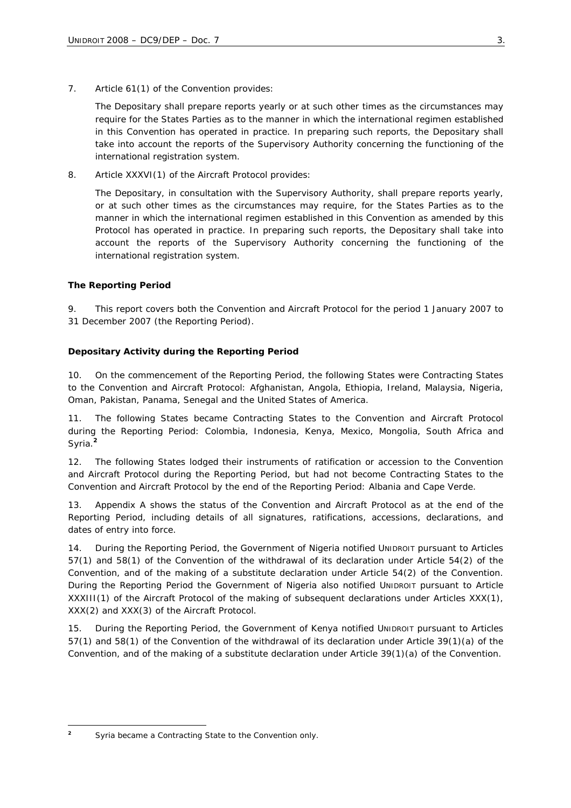7. Article 61(1) of the Convention provides:

The Depositary shall prepare reports yearly or at such other times as the circumstances may require for the States Parties as to the manner in which the international regimen established in this Convention has operated in practice. In preparing such reports, the Depositary shall take into account the reports of the Supervisory Authority concerning the functioning of the international registration system.

8. Article XXXVI(1) of the Aircraft Protocol provides:

The Depositary, in consultation with the Supervisory Authority, shall prepare reports yearly, or at such other times as the circumstances may require, for the States Parties as to the manner in which the international regimen established in this Convention as amended by this Protocol has operated in practice. In preparing such reports, the Depositary shall take into account the reports of the Supervisory Authority concerning the functioning of the international registration system.

## **The Reporting Period**

9. This report covers both the Convention and Aircraft Protocol for the period 1 January 2007 to 31 December 2007 (the Reporting Period).

## **Depositary Activity during the Reporting Period**

10. On the commencement of the Reporting Period, the following States were Contracting States to the Convention and Aircraft Protocol: Afghanistan, Angola, Ethiopia, Ireland, Malaysia, Nigeria, Oman, Pakistan, Panama, Senegal and the United States of America.

11. The following States became Contracting States to the Convention and Aircraft Protocol during the Reporting Period: Colombia, Indonesia, Kenya, Mexico, Mongolia, South Africa and Syria.**<sup>2</sup>**

12. The following States lodged their instruments of ratification or accession to the Convention and Aircraft Protocol during the Reporting Period, but had not become Contracting States to the Convention and Aircraft Protocol by the end of the Reporting Period: Albania and Cape Verde.

13. Appendix A shows the status of the Convention and Aircraft Protocol as at the end of the Reporting Period, including details of all signatures, ratifications, accessions, declarations, and dates of entry into force.

14. During the Reporting Period, the Government of Nigeria notified UNIDROIT pursuant to Articles 57(1) and 58(1) of the Convention of the withdrawal of its declaration under Article 54(2) of the Convention, and of the making of a substitute declaration under Article 54(2) of the Convention. During the Reporting Period the Government of Nigeria also notified UNIDROIT pursuant to Article XXXIII(1) of the Aircraft Protocol of the making of subsequent declarations under Articles XXX(1), XXX(2) and XXX(3) of the Aircraft Protocol.

15. During the Reporting Period, the Government of Kenya notified UNIDROIT pursuant to Articles 57(1) and 58(1) of the Convention of the withdrawal of its declaration under Article 39(1)(a) of the Convention, and of the making of a substitute declaration under Article 39(1)(a) of the Convention.

 $\overline{a}$ 

<sup>&</sup>lt;sup>2</sup> Syria became a Contracting State to the Convention only.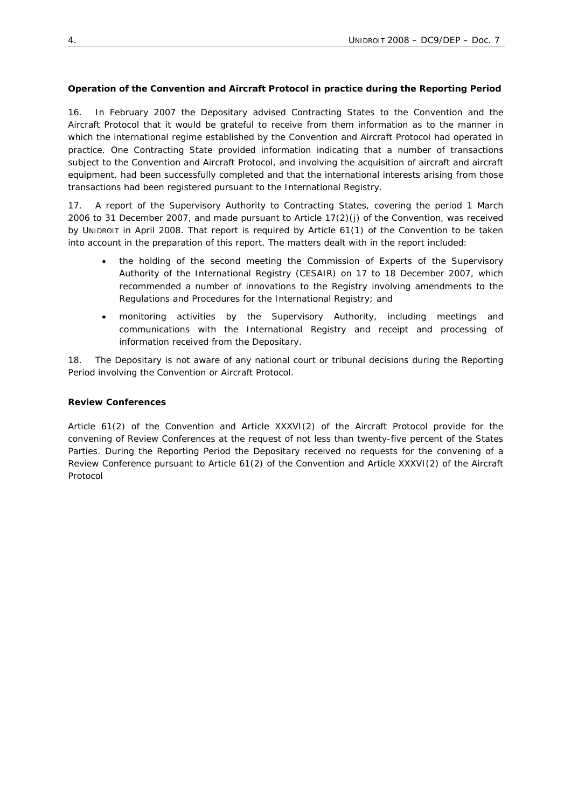#### **Operation of the Convention and Aircraft Protocol in practice during the Reporting Period**

16. In February 2007 the Depositary advised Contracting States to the Convention and the Aircraft Protocol that it would be grateful to receive from them information as to the manner in which the international regime established by the Convention and Aircraft Protocol had operated in practice. One Contracting State provided information indicating that a number of transactions subject to the Convention and Aircraft Protocol, and involving the acquisition of aircraft and aircraft equipment, had been successfully completed and that the international interests arising from those transactions had been registered pursuant to the International Registry.

17. A report of the Supervisory Authority to Contracting States, covering the period 1 March 2006 to 31 December 2007, and made pursuant to Article 17(2)(j) of the Convention, was received by UNIDROIT in April 2008. That report is required by Article 61(1) of the Convention to be taken into account in the preparation of this report. The matters dealt with in the report included:

- the holding of the second meeting the Commission of Experts of the Supervisory Authority of the International Registry (CESAIR) on 17 to 18 December 2007, which recommended a number of innovations to the Registry involving amendments to the Regulations and Procedures for the International Registry; and
- monitoring activities by the Supervisory Authority, including meetings and communications with the International Registry and receipt and processing of information received from the Depositary.

18. The Depositary is not aware of any national court or tribunal decisions during the Reporting Period involving the Convention or Aircraft Protocol.

#### **Review Conferences**

Article 61(2) of the Convention and Article XXXVI(2) of the Aircraft Protocol provide for the convening of Review Conferences at the request of not less than twenty-five percent of the States Parties. During the Reporting Period the Depositary received no requests for the convening of a Review Conference pursuant to Article 61(2) of the Convention and Article XXXVI(2) of the Aircraft Protocol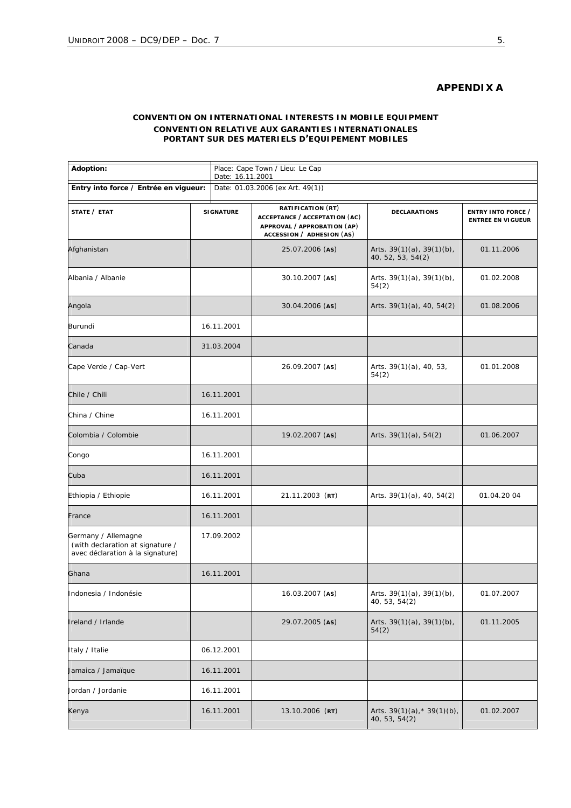# **APPENDIX A**

#### **CONVENTION ON INTERNATIONAL INTERESTS IN MOBILE EQUIPMENT** *CONVENTION RELATIVE AUX GARANTIES INTERNATIONALES PORTANT SUR DES MATERIELS D'EQUIPEMENT MOBILES*

| Adoption:<br>Entry into force / Entrée en vigueur:                                          |                  | Place: Cape Town / Lieu: Le Cap<br>Date: 16.11.2001 |                                                                                                                |                                                      |                                                |
|---------------------------------------------------------------------------------------------|------------------|-----------------------------------------------------|----------------------------------------------------------------------------------------------------------------|------------------------------------------------------|------------------------------------------------|
|                                                                                             |                  | Date: 01.03.2006 (ex Art. 49(1))                    |                                                                                                                |                                                      |                                                |
| STATE / ETAT                                                                                | <b>SIGNATURE</b> |                                                     | RATIFICATION (RT)<br>ACCEPTANCE / ACCEPTATION (AC)<br>APPROVAL / APPROBATION (AP)<br>ACCESSION / ADHESION (AS) | <b>DECLARATIONS</b>                                  | ENTRY INTO FORCE /<br><b>ENTREE EN VIGUEUR</b> |
| Afghanistan                                                                                 |                  |                                                     | 25.07.2006 (AS)                                                                                                | Arts. $39(1)(a)$ , $39(1)(b)$ ,<br>40, 52, 53, 54(2) | 01.11.2006                                     |
| Albania / Albanie                                                                           |                  |                                                     | 30.10.2007 (AS)                                                                                                | Arts. $39(1)(a)$ , $39(1)(b)$ ,<br>54(2)             | 01.02.2008                                     |
| Angola                                                                                      |                  |                                                     | 30.04.2006 (AS)                                                                                                | Arts. $39(1)(a)$ , 40, 54(2)                         | 01.08.2006                                     |
| Burundi                                                                                     | 16.11.2001       |                                                     |                                                                                                                |                                                      |                                                |
| Canada                                                                                      |                  | 31.03.2004                                          |                                                                                                                |                                                      |                                                |
| Cape Verde / Cap-Vert                                                                       |                  |                                                     | 26.09.2007 (AS)                                                                                                | Arts. 39(1)(a), 40, 53,<br>54(2)                     | 01.01.2008                                     |
| Chile / Chili                                                                               |                  | 16.11.2001                                          |                                                                                                                |                                                      |                                                |
| China / Chine                                                                               | 16.11.2001       |                                                     |                                                                                                                |                                                      |                                                |
| Colombia / Colombie                                                                         |                  |                                                     | 19.02.2007 (AS)                                                                                                | Arts. $39(1)(a)$ , $54(2)$                           | 01.06.2007                                     |
| Congo                                                                                       |                  | 16.11.2001                                          |                                                                                                                |                                                      |                                                |
| Cuba                                                                                        |                  | 16.11.2001                                          |                                                                                                                |                                                      |                                                |
| Ethiopia / Ethiopie                                                                         | 16.11.2001       |                                                     | 21.11.2003 (RT)                                                                                                | Arts. 39(1)(a), 40, 54(2)                            | 01.04.20 04                                    |
| France                                                                                      |                  | 16.11.2001                                          |                                                                                                                |                                                      |                                                |
| Germany / Allemagne<br>(with declaration at signature /<br>avec déclaration à la signature) |                  | 17.09.2002                                          |                                                                                                                |                                                      |                                                |
| Ghana                                                                                       |                  | 16.11.2001                                          |                                                                                                                |                                                      |                                                |
| Indonesia / Indonésie                                                                       |                  |                                                     | $16.03.2007$ (AS)                                                                                              | Arts. $39(1)(a)$ , $39(1)(b)$ ,<br>40, 53, 54(2)     | 01.07.2007                                     |
| Ireland / Irlande                                                                           |                  |                                                     | 29.07.2005 (AS)                                                                                                | Arts. $39(1)(a)$ , $39(1)(b)$ ,<br>54(2)             | 01.11.2005                                     |
| Italy / Italie                                                                              |                  | 06.12.2001                                          |                                                                                                                |                                                      |                                                |
| Jamaica / Jamaïque                                                                          |                  | 16.11.2001                                          |                                                                                                                |                                                      |                                                |
| Jordan / Jordanie                                                                           |                  | 16.11.2001                                          |                                                                                                                |                                                      |                                                |
| Kenya                                                                                       | 16.11.2001       |                                                     | 13.10.2006 (RT)                                                                                                | Arts. 39(1)(a), * 39(1)(b),<br>40, 53, 54(2)         | 01.02.2007                                     |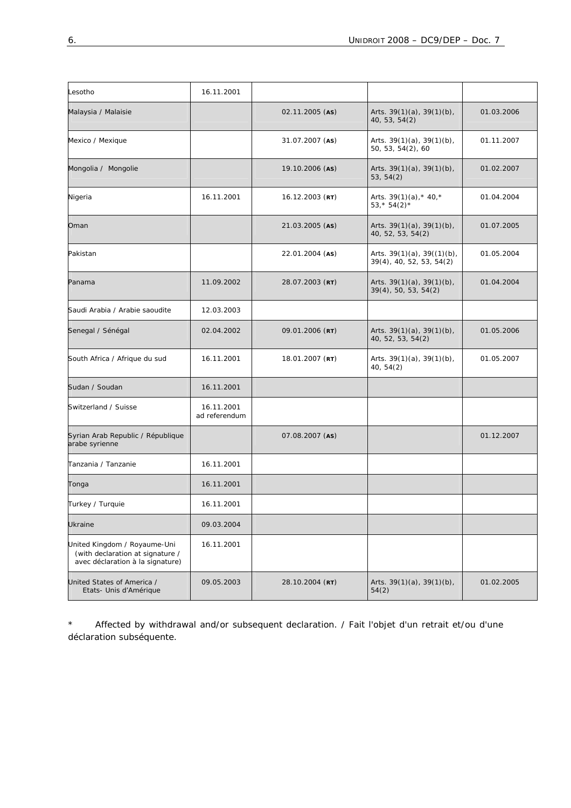| Lesotho                                                                                              | 16.11.2001                  |                   |                                                                 |            |
|------------------------------------------------------------------------------------------------------|-----------------------------|-------------------|-----------------------------------------------------------------|------------|
| Malaysia / Malaisie                                                                                  |                             | 02.11.2005 (AS)   | Arts. $39(1)(a)$ , $39(1)(b)$ ,<br>40, 53, 54(2)                | 01.03.2006 |
| Mexico / Mexique                                                                                     |                             | 31.07.2007 (AS)   | Arts. $39(1)(a)$ , $39(1)(b)$ ,<br>50, 53, 54(2), 60            | 01.11.2007 |
| Mongolia / Mongolie                                                                                  |                             | 19.10.2006 (AS)   | Arts. $39(1)(a)$ , $39(1)(b)$ ,<br>53, 54(2)                    | 01.02.2007 |
| Nigeria                                                                                              | 16.11.2001                  | $16.12.2003$ (RT) | Arts. $39(1)(a)$ , * 40, *<br>$53,*54(2)*$                      | 01.04.2004 |
| Oman                                                                                                 |                             | 21.03.2005 (AS)   | Arts. $39(1)(a)$ , $39(1)(b)$ ,<br>40, 52, 53, 54(2)            | 01.07.2005 |
| Pakistan                                                                                             |                             | 22.01.2004 (AS)   | Arts. $39(1)(a)$ , $39((1)(b)$ ,<br>$39(4)$ , 40, 52, 53, 54(2) | 01.05.2004 |
| Panama                                                                                               | 11.09.2002                  | 28.07.2003 (RT)   | Arts. $39(1)(a)$ , $39(1)(b)$ ,<br>39(4), 50, 53, 54(2)         | 01.04.2004 |
| Saudi Arabia / Arabie saoudite                                                                       | 12.03.2003                  |                   |                                                                 |            |
| Senegal / Sénégal                                                                                    | 02.04.2002                  | 09.01.2006 (RT)   | Arts. $39(1)(a)$ , $39(1)(b)$ ,<br>40, 52, 53, 54(2)            | 01.05.2006 |
| South Africa / Afrique du sud                                                                        | 16.11.2001                  | 18.01.2007 (RT)   | Arts. $39(1)(a)$ , $39(1)(b)$ ,<br>40, 54(2)                    | 01.05.2007 |
| Sudan / Soudan                                                                                       | 16.11.2001                  |                   |                                                                 |            |
| Switzerland / Suisse                                                                                 | 16.11.2001<br>ad referendum |                   |                                                                 |            |
| Syrian Arab Republic / République<br>arabe syrienne                                                  |                             | 07.08.2007 (AS)   |                                                                 | 01.12.2007 |
| Tanzania / <i>Tanzanie</i>                                                                           | 16.11.2001                  |                   |                                                                 |            |
| Tonga                                                                                                | 16.11.2001                  |                   |                                                                 |            |
| Turkey / Turquie                                                                                     | 16.11.2001                  |                   |                                                                 |            |
| Ukraine                                                                                              | 09.03.2004                  |                   |                                                                 |            |
| United Kingdom / Royaume-Uni<br>(with declaration at signature /<br>avec déclaration à la signature) | 16.11.2001                  |                   |                                                                 |            |
| United States of America /<br>Etats- Unis d'Amérique                                                 | 09.05.2003                  | 28.10.2004 (RT)   | Arts. $39(1)(a)$ , $39(1)(b)$ ,<br>54(2)                        | 01.02.2005 |

\* Affected by withdrawal and/or subsequent declaration. / *Fait l'objet d'un retrait et/ou d'une déclaration subséquente.*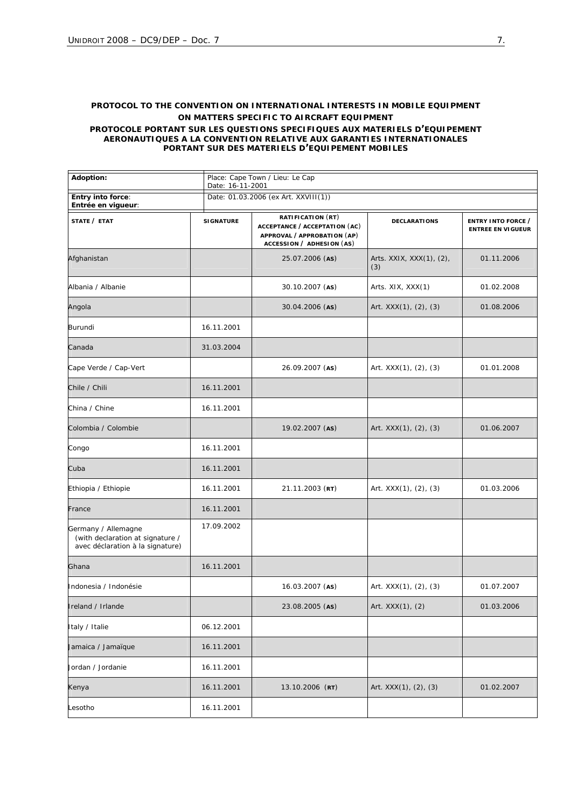#### **PROTOCOL TO THE CONVENTION ON INTERNATIONAL INTERESTS IN MOBILE EQUIPMENT ON MATTERS SPECIFIC TO AIRCRAFT EQUIPMENT**

*PROTOCOLE PORTANT SUR LES QUESTIONS SPECIFIQUES AUX MATERIELS D'EQUIPEMENT AERONAUTIQUES A LA CONVENTION RELATIVE AUX GARANTIES INTERNATIONALES PORTANT SUR DES MATERIELS D'EQUIPEMENT MOBILES*

| Adoption:                                                                                   | Date: 16-11-2001 | Place: Cape Town / Lieu: Le Cap                                                                                |                                 |                                                |  |  |
|---------------------------------------------------------------------------------------------|------------------|----------------------------------------------------------------------------------------------------------------|---------------------------------|------------------------------------------------|--|--|
| Entry into force:<br>Entrée en vigueur:                                                     |                  | Date: 01.03.2006 (ex Art. XXVIII(1))                                                                           |                                 |                                                |  |  |
| <i>STATE</i> / ETAT                                                                         | <b>SIGNATURE</b> | RATIFICATION (RT)<br>ACCEPTANCE / ACCEPTATION (AC)<br>APPROVAL / APPROBATION (AP)<br>ACCESSION / ADHESION (AS) | <b>DECLARATIONS</b>             | ENTRY INTO FORCE /<br><b>ENTREE EN VIGUEUR</b> |  |  |
| Afghanistan                                                                                 |                  | 25.07.2006 (AS)                                                                                                | Arts. XXIX, XXX(1), (2),<br>(3) | 01.11.2006                                     |  |  |
| Albania / Albanie                                                                           |                  | 30.10.2007 (AS)                                                                                                | Arts. XIX, XXX(1)               | 01.02.2008                                     |  |  |
| Angola                                                                                      |                  | 30.04.2006 (AS)                                                                                                | Art. XXX(1), (2), (3)           | 01.08.2006                                     |  |  |
| Burundi                                                                                     | 16.11.2001       |                                                                                                                |                                 |                                                |  |  |
| Canada                                                                                      | 31.03.2004       |                                                                                                                |                                 |                                                |  |  |
| Cape Verde / Cap-Vert                                                                       |                  | 26.09.2007 (AS)                                                                                                | Art. $XXX(1)$ , $(2)$ , $(3)$   | 01.01.2008                                     |  |  |
| Chile / Chili                                                                               | 16.11.2001       |                                                                                                                |                                 |                                                |  |  |
| China / Chine                                                                               | 16.11.2001       |                                                                                                                |                                 |                                                |  |  |
| Colombia / Colombie                                                                         |                  | 19.02.2007 (AS)                                                                                                | Art. XXX(1), (2), (3)           | 01.06.2007                                     |  |  |
| Congo                                                                                       | 16.11.2001       |                                                                                                                |                                 |                                                |  |  |
| Cuba                                                                                        | 16.11.2001       |                                                                                                                |                                 |                                                |  |  |
| Ethiopia / Ethiopie                                                                         | 16.11.2001       | $21.11.2003$ (RT)                                                                                              | Art. XXX(1), (2), (3)           | 01.03.2006                                     |  |  |
| France                                                                                      | 16.11.2001       |                                                                                                                |                                 |                                                |  |  |
| Germany / Allemagne<br>(with declaration at signature /<br>avec déclaration à la signature) | 17.09.2002       |                                                                                                                |                                 |                                                |  |  |
| Ghana                                                                                       | 16.11.2001       |                                                                                                                |                                 |                                                |  |  |
| Indonesia / Indonésie                                                                       |                  | 16.03.2007 (AS)                                                                                                | Art. $XXX(1)$ , $(2)$ , $(3)$   | 01.07.2007                                     |  |  |
| Ireland / Irlande                                                                           |                  | 23.08.2005 (AS)                                                                                                | Art. XXX(1), (2)                | 01.03.2006                                     |  |  |
| Italy / Italie                                                                              | 06.12.2001       |                                                                                                                |                                 |                                                |  |  |
| Jamaica / Jamaïque                                                                          | 16.11.2001       |                                                                                                                |                                 |                                                |  |  |
| Jordan / Jordanie                                                                           | 16.11.2001       |                                                                                                                |                                 |                                                |  |  |
| Kenya                                                                                       | 16.11.2001       | 13.10.2006 (RT)                                                                                                | Art. XXX(1), (2), (3)           | 01.02.2007                                     |  |  |
| _esotho                                                                                     | 16.11.2001       |                                                                                                                |                                 |                                                |  |  |